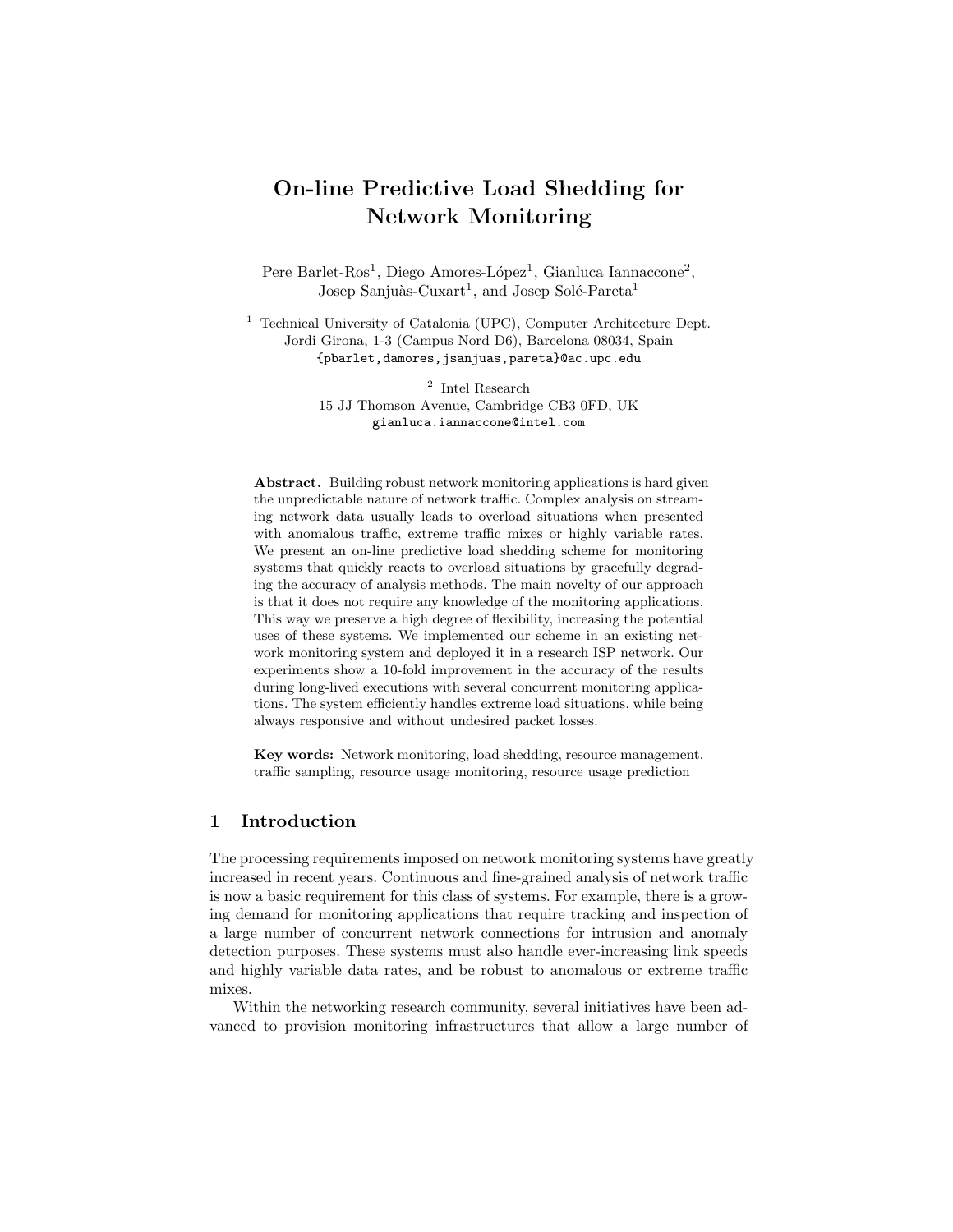# **On-line Predictive Load Shedding for Network Monitoring**

Pere Barlet-Ros<sup>1</sup>, Diego Amores-López<sup>1</sup>, Gianluca Iannaccone<sup>2</sup>, Josep Sanjuàs-Cuxart<sup>1</sup>, and Josep Solé-Pareta<sup>1</sup>

<sup>1</sup> Technical University of Catalonia (UPC), Computer Architecture Dept. Jordi Girona, 1-3 (Campus Nord D6), Barcelona 08034, Spain {pbarlet,damores,jsanjuas,pareta}@ac.upc.edu

> 2 Intel Research 15 JJ Thomson Avenue, Cambridge CB3 0FD, UK gianluca.iannaccone@intel.com

**Abstract.** Building robust network monitoring applications is hard given the unpredictable nature of network traffic. Complex analysis on streaming network data usually leads to overload situations when presented with anomalous traffic, extreme traffic mixes or highly variable rates. We present an on-line predictive load shedding scheme for monitoring systems that quickly reacts to overload situations by gracefully degrading the accuracy of analysis methods. The main novelty of our approach is that it does not require any knowledge of the monitoring applications. This way we preserve a high degree of flexibility, increasing the potential uses of these systems. We implemented our scheme in an existing network monitoring system and deployed it in a research ISP network. Our experiments show a 10-fold improvement in the accuracy of the results during long-lived executions with several concurrent monitoring applications. The system efficiently handles extreme load situations, while being always responsive and without undesired packet losses.

**Key words:** Network monitoring, load shedding, resource management, traffic sampling, resource usage monitoring, resource usage prediction

# **1 Introduction**

The processing requirements imposed on network monitoring systems have greatly increased in recent years. Continuous and fine-grained analysis of network traffic is now a basic requirement for this class of systems. For example, there is a growing demand for monitoring applications that require tracking and inspection of a large number of concurrent network connections for intrusion and anomaly detection purposes. These systems must also handle ever-increasing link speeds and highly variable data rates, and be robust to anomalous or extreme traffic mixes.

Within the networking research community, several initiatives have been advanced to provision monitoring infrastructures that allow a large number of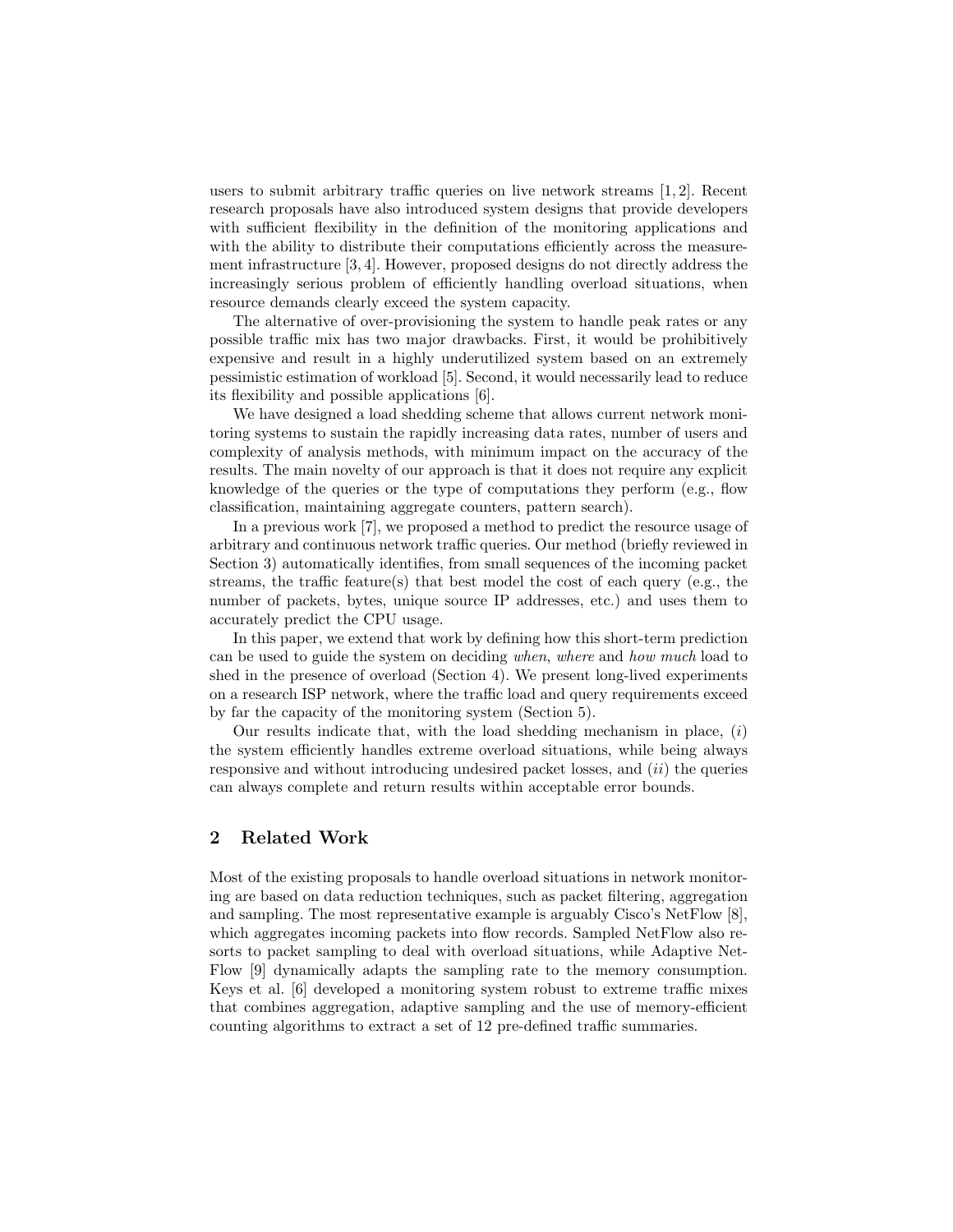users to submit arbitrary traffic queries on live network streams [1, 2]. Recent research proposals have also introduced system designs that provide developers with sufficient flexibility in the definition of the monitoring applications and with the ability to distribute their computations efficiently across the measurement infrastructure [3, 4]. However, proposed designs do not directly address the increasingly serious problem of efficiently handling overload situations, when resource demands clearly exceed the system capacity.

The alternative of over-provisioning the system to handle peak rates or any possible traffic mix has two major drawbacks. First, it would be prohibitively expensive and result in a highly underutilized system based on an extremely pessimistic estimation of workload [5]. Second, it would necessarily lead to reduce its flexibility and possible applications [6].

We have designed a load shedding scheme that allows current network monitoring systems to sustain the rapidly increasing data rates, number of users and complexity of analysis methods, with minimum impact on the accuracy of the results. The main novelty of our approach is that it does not require any explicit knowledge of the queries or the type of computations they perform (e.g., flow classification, maintaining aggregate counters, pattern search).

In a previous work [7], we proposed a method to predict the resource usage of arbitrary and continuous network traffic queries. Our method (briefly reviewed in Section 3) automatically identifies, from small sequences of the incoming packet streams, the traffic feature(s) that best model the cost of each query (e.g., the number of packets, bytes, unique source IP addresses, etc.) and uses them to accurately predict the CPU usage.

In this paper, we extend that work by defining how this short-term prediction can be used to guide the system on deciding *when*, *where* and *how much* load to shed in the presence of overload (Section 4). We present long-lived experiments on a research ISP network, where the traffic load and query requirements exceed by far the capacity of the monitoring system (Section 5).

Our results indicate that, with the load shedding mechanism in place, (*i*) the system efficiently handles extreme overload situations, while being always responsive and without introducing undesired packet losses, and (*ii*) the queries can always complete and return results within acceptable error bounds.

# **2 Related Work**

Most of the existing proposals to handle overload situations in network monitoring are based on data reduction techniques, such as packet filtering, aggregation and sampling. The most representative example is arguably Cisco's NetFlow [8], which aggregates incoming packets into flow records. Sampled NetFlow also resorts to packet sampling to deal with overload situations, while Adaptive Net-Flow [9] dynamically adapts the sampling rate to the memory consumption. Keys et al. [6] developed a monitoring system robust to extreme traffic mixes that combines aggregation, adaptive sampling and the use of memory-efficient counting algorithms to extract a set of 12 pre-defined traffic summaries.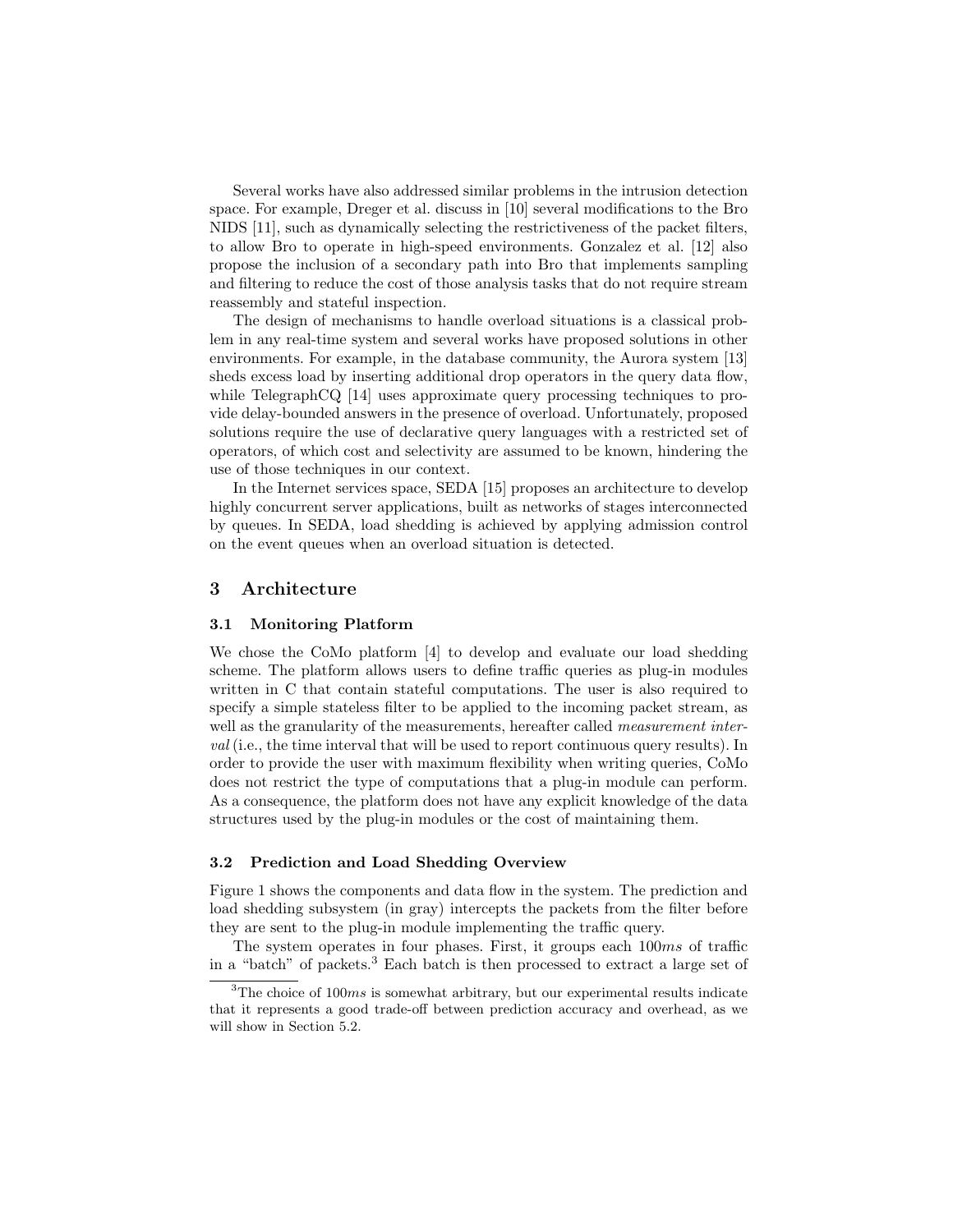Several works have also addressed similar problems in the intrusion detection space. For example, Dreger et al. discuss in [10] several modifications to the Bro NIDS [11], such as dynamically selecting the restrictiveness of the packet filters, to allow Bro to operate in high-speed environments. Gonzalez et al. [12] also propose the inclusion of a secondary path into Bro that implements sampling and filtering to reduce the cost of those analysis tasks that do not require stream reassembly and stateful inspection.

The design of mechanisms to handle overload situations is a classical problem in any real-time system and several works have proposed solutions in other environments. For example, in the database community, the Aurora system [13] sheds excess load by inserting additional drop operators in the query data flow, while TelegraphCQ [14] uses approximate query processing techniques to provide delay-bounded answers in the presence of overload. Unfortunately, proposed solutions require the use of declarative query languages with a restricted set of operators, of which cost and selectivity are assumed to be known, hindering the use of those techniques in our context.

In the Internet services space, SEDA [15] proposes an architecture to develop highly concurrent server applications, built as networks of stages interconnected by queues. In SEDA, load shedding is achieved by applying admission control on the event queues when an overload situation is detected.

# **3 Architecture**

### **3.1 Monitoring Platform**

We chose the CoMo platform [4] to develop and evaluate our load shedding scheme. The platform allows users to define traffic queries as plug-in modules written in C that contain stateful computations. The user is also required to specify a simple stateless filter to be applied to the incoming packet stream, as well as the granularity of the measurements, hereafter called *measurement interval* (i.e., the time interval that will be used to report continuous query results). In order to provide the user with maximum flexibility when writing queries, CoMo does not restrict the type of computations that a plug-in module can perform. As a consequence, the platform does not have any explicit knowledge of the data structures used by the plug-in modules or the cost of maintaining them.

### **3.2 Prediction and Load Shedding Overview**

Figure 1 shows the components and data flow in the system. The prediction and load shedding subsystem (in gray) intercepts the packets from the filter before they are sent to the plug-in module implementing the traffic query.

The system operates in four phases. First, it groups each 100*ms* of traffic in a "batch" of packets.<sup>3</sup> Each batch is then processed to extract a large set of

<sup>&</sup>lt;sup>3</sup>The choice of 100*ms* is somewhat arbitrary, but our experimental results indicate that it represents a good trade-off between prediction accuracy and overhead, as we will show in Section 5.2.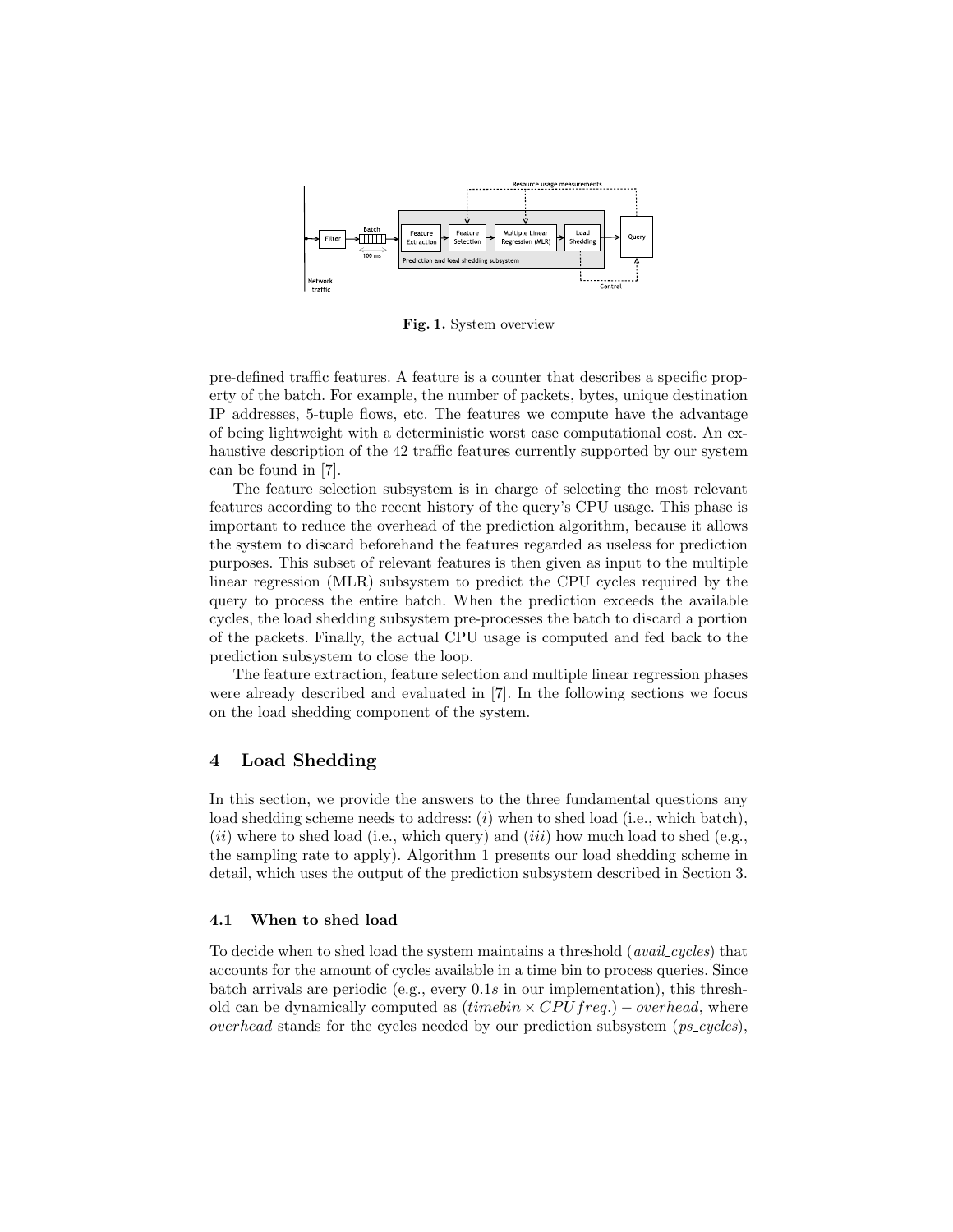

**Fig. 1.** System overview

pre-defined traffic features. A feature is a counter that describes a specific property of the batch. For example, the number of packets, bytes, unique destination IP addresses, 5-tuple flows, etc. The features we compute have the advantage of being lightweight with a deterministic worst case computational cost. An exhaustive description of the 42 traffic features currently supported by our system can be found in [7].

The feature selection subsystem is in charge of selecting the most relevant features according to the recent history of the query's CPU usage. This phase is important to reduce the overhead of the prediction algorithm, because it allows the system to discard beforehand the features regarded as useless for prediction purposes. This subset of relevant features is then given as input to the multiple linear regression (MLR) subsystem to predict the CPU cycles required by the query to process the entire batch. When the prediction exceeds the available cycles, the load shedding subsystem pre-processes the batch to discard a portion of the packets. Finally, the actual CPU usage is computed and fed back to the prediction subsystem to close the loop.

The feature extraction, feature selection and multiple linear regression phases were already described and evaluated in [7]. In the following sections we focus on the load shedding component of the system.

# **4 Load Shedding**

In this section, we provide the answers to the three fundamental questions any load shedding scheme needs to address: (*i*) when to shed load (i.e., which batch), (*ii*) where to shed load (i.e., which query) and (*iii*) how much load to shed (e.g., the sampling rate to apply). Algorithm 1 presents our load shedding scheme in detail, which uses the output of the prediction subsystem described in Section 3.

# **4.1 When to shed load**

To decide when to shed load the system maintains a threshold (*avail cycles*) that accounts for the amount of cycles available in a time bin to process queries. Since batch arrivals are periodic (e.g., every 0*.*1*s* in our implementation), this threshold can be dynamically computed as  $(imebin \times CPUfreq.)$  – *overhead*, where *overhead* stands for the cycles needed by our prediction subsystem (*ps cycles*),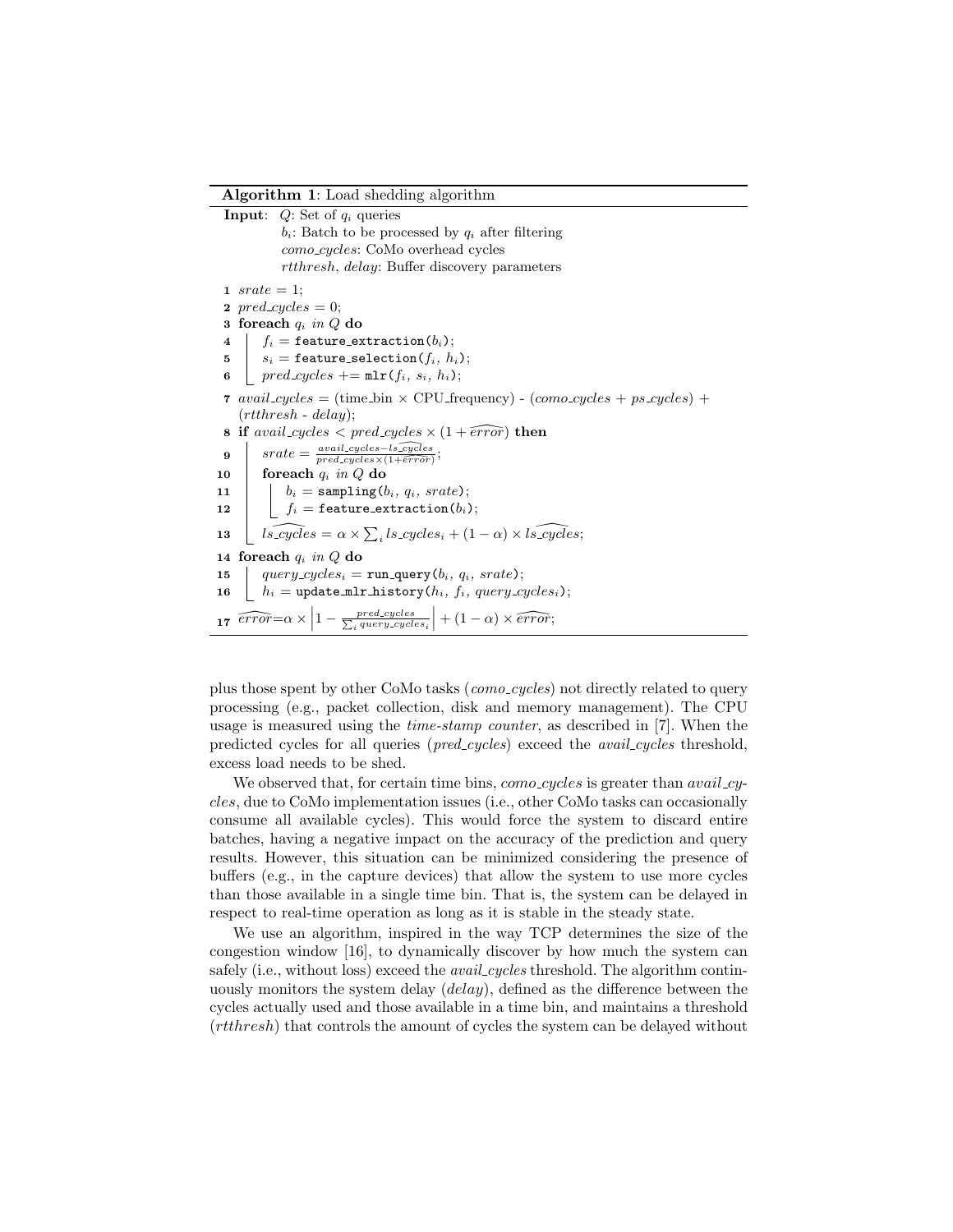#### **Algorithm 1**: Load shedding algorithm

**Input**: *Q*: Set of *q<sup>i</sup>* queries  $b_i$ : Batch to be processed by  $q_i$  after filtering *como cycles*: CoMo overhead cycles *rtthresh*, *delay*: Buffer discovery parameters **1** *;* **2**  $pred\_cycles = 0;$ **3 foreach** *q<sup>i</sup> in Q* **do**  $\textbf{4}$  |  $f_i$  = feature\_extraction( $b_i$ );  $s_i =$  feature\_selection( $f_i$ ,  $h_i$ ); **6**  $\int$  *pred\_cycles* +=  $\text{mlr}(f_i, s_i, h_i);$ **7**  $a\nu$ *avail cycles* = (time bin  $\times$  CPU frequency) - (*como cycles* + *ps cycles*) + (*rtthresh* - *delay*); **8 if**  $available *geles pred cycles ×*  $(1 + \widehat{error})$  **then**$  $g \mid \; state = \frac{available}{pred\_cycles - ls\_cycles};$ **10 foreach** *q<sup>i</sup> in Q* **do** 11  $\vert$   $b_i = \text{sampling}(b_i, q_i, \text{state});$ 12  $\int f_i = \text{feature\_extraction}(b_i);$ **13**  $\left[ \int \widehat{ds\_cycles} = \alpha \times \sum_{i} ls\_cycles_{i} + (1 - \alpha) \times \widehat{ls\_cycles}; \right]$ **14 foreach** *q<sup>i</sup> in Q* **do** 15  $\int$  *query\_cycles<sub>i</sub>* = **run\_query**(*b<sub>i</sub>*, *q<sub>i</sub>*, *srate*); 16  $h_i = \text{update\_mlr\_history}(h_i, f_i, query\_cycles_i);$  $\overline{error} = \alpha \times \left| 1 - \frac{\text{pred\_cycles}}{\sum_i \text{query\_cycl}} \right|$ *i query cyclesi*  $\overline{error} = \alpha \times \left| 1 - \frac{pred\_cycles}{\sum_{i} query\_cycles_i} \right| + (1 - \alpha) \times \widehat{error};$ 

plus those spent by other CoMo tasks (*como cycles*) not directly related to query processing (e.g., packet collection, disk and memory management). The CPU usage is measured using the *time-stamp counter*, as described in [7]. When the predicted cycles for all queries (*pred cycles*) exceed the *avail cycles* threshold, excess load needs to be shed.

We observed that, for certain time bins, *como cycles* is greater than *avail cycles*, due to CoMo implementation issues (i.e., other CoMo tasks can occasionally consume all available cycles). This would force the system to discard entire batches, having a negative impact on the accuracy of the prediction and query results. However, this situation can be minimized considering the presence of buffers (e.g., in the capture devices) that allow the system to use more cycles than those available in a single time bin. That is, the system can be delayed in respect to real-time operation as long as it is stable in the steady state.

We use an algorithm, inspired in the way TCP determines the size of the congestion window [16], to dynamically discover by how much the system can safely (i.e., without loss) exceed the *avail cycles* threshold. The algorithm continuously monitors the system delay (*delay*), defined as the difference between the cycles actually used and those available in a time bin, and maintains a threshold (*rtthresh*) that controls the amount of cycles the system can be delayed without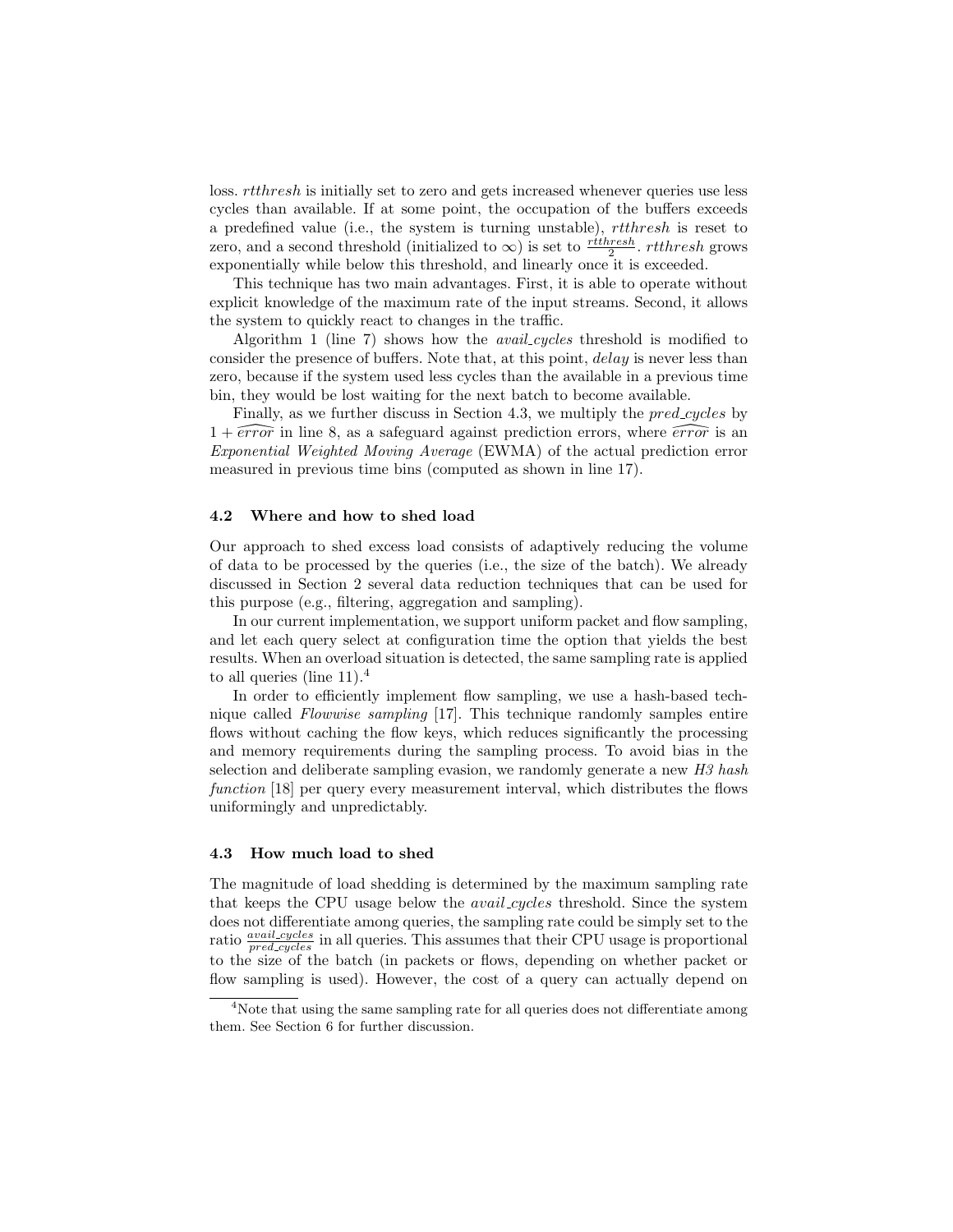loss. *rtthresh* is initially set to zero and gets increased whenever queries use less cycles than available. If at some point, the occupation of the buffers exceeds a predefined value (i.e., the system is turning unstable), *rtthresh* is reset to zero, and a second threshold (initialized to  $\infty$ ) is set to  $\frac{rthresh}{2}$ . *rtthresh* grows exponentially while below this threshold, and linearly once it is exceeded.

This technique has two main advantages. First, it is able to operate without explicit knowledge of the maximum rate of the input streams. Second, it allows the system to quickly react to changes in the traffic.

Algorithm 1 (line 7) shows how the *avail cycles* threshold is modified to consider the presence of buffers. Note that, at this point, *delay* is never less than zero, because if the system used less cycles than the available in a previous time bin, they would be lost waiting for the next batch to become available.

Finally, as we further discuss in Section 4.3, we multiply the *pred cycles* by  $1 + \widehat{error}$  in line 8, as a safeguard against prediction errors, where  $\widehat{error}$  is an *Exponential Weighted Moving Average* (EWMA) of the actual prediction error measured in previous time bins (computed as shown in line 17).

#### **4.2 Where and how to shed load**

Our approach to shed excess load consists of adaptively reducing the volume of data to be processed by the queries (i.e., the size of the batch). We already discussed in Section 2 several data reduction techniques that can be used for this purpose (e.g., filtering, aggregation and sampling).

In our current implementation, we support uniform packet and flow sampling, and let each query select at configuration time the option that yields the best results. When an overload situation is detected, the same sampling rate is applied to all queries (line 11).<sup>4</sup>

In order to efficiently implement flow sampling, we use a hash-based technique called *Flowwise sampling* [17]. This technique randomly samples entire flows without caching the flow keys, which reduces significantly the processing and memory requirements during the sampling process. To avoid bias in the selection and deliberate sampling evasion, we randomly generate a new *H3 hash function* [18] per query every measurement interval, which distributes the flows uniformingly and unpredictably.

# **4.3 How much load to shed**

The magnitude of load shedding is determined by the maximum sampling rate that keeps the CPU usage below the *avail cycles* threshold. Since the system does not differentiate among queries, the sampling rate could be simply set to the ratio  $\frac{avail\_cycles}{pred\_cycles}$  in all queries. This assumes that their CPU usage is proportional to the size of the batch (in packets or flows, depending on whether packet or flow sampling is used). However, the cost of a query can actually depend on

 $4$ Note that using the same sampling rate for all queries does not differentiate among them. See Section 6 for further discussion.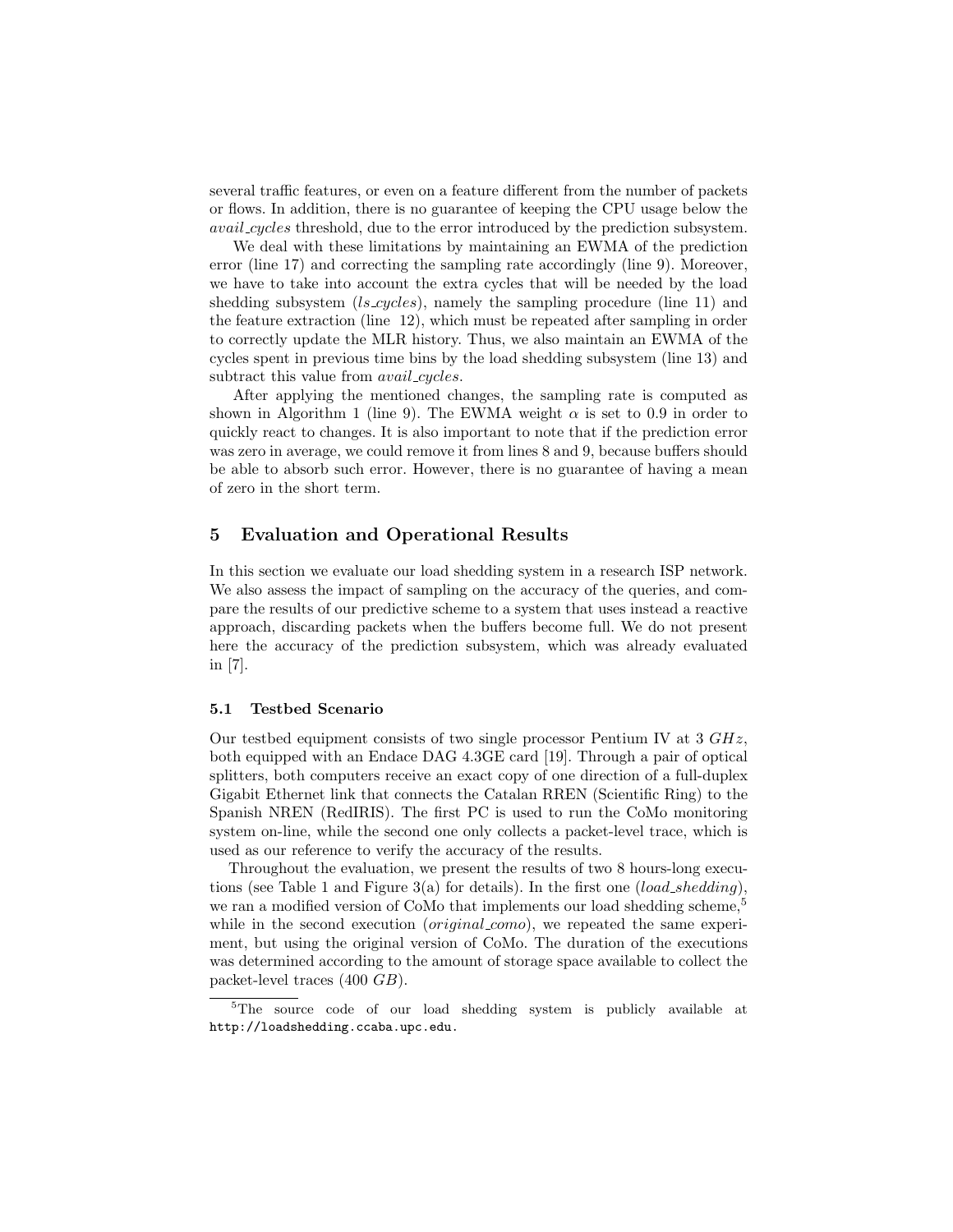several traffic features, or even on a feature different from the number of packets or flows. In addition, there is no guarantee of keeping the CPU usage below the *avail cycles* threshold, due to the error introduced by the prediction subsystem.

We deal with these limitations by maintaining an EWMA of the prediction error (line 17) and correcting the sampling rate accordingly (line 9). Moreover, we have to take into account the extra cycles that will be needed by the load shedding subsystem (*ls cycles*), namely the sampling procedure (line 11) and the feature extraction (line 12), which must be repeated after sampling in order to correctly update the MLR history. Thus, we also maintain an EWMA of the cycles spent in previous time bins by the load shedding subsystem (line 13) and subtract this value from *avail cycles*.

After applying the mentioned changes, the sampling rate is computed as shown in Algorithm 1 (line 9). The EWMA weight  $\alpha$  is set to 0.9 in order to quickly react to changes. It is also important to note that if the prediction error was zero in average, we could remove it from lines 8 and 9, because buffers should be able to absorb such error. However, there is no guarantee of having a mean of zero in the short term.

# **5 Evaluation and Operational Results**

In this section we evaluate our load shedding system in a research ISP network. We also assess the impact of sampling on the accuracy of the queries, and compare the results of our predictive scheme to a system that uses instead a reactive approach, discarding packets when the buffers become full. We do not present here the accuracy of the prediction subsystem, which was already evaluated in [7].

### **5.1 Testbed Scenario**

Our testbed equipment consists of two single processor Pentium IV at 3 *GHz*, both equipped with an Endace DAG 4.3GE card [19]. Through a pair of optical splitters, both computers receive an exact copy of one direction of a full-duplex Gigabit Ethernet link that connects the Catalan RREN (Scientific Ring) to the Spanish NREN (RedIRIS). The first PC is used to run the CoMo monitoring system on-line, while the second one only collects a packet-level trace, which is used as our reference to verify the accuracy of the results.

Throughout the evaluation, we present the results of two 8 hours-long executions (see Table 1 and Figure 3(a) for details). In the first one (*load shedding*), we ran a modified version of CoMo that implements our load shedding scheme,<sup>5</sup> while in the second execution *(original como)*, we repeated the same experiment, but using the original version of CoMo. The duration of the executions was determined according to the amount of storage space available to collect the packet-level traces (400 *GB*).

<sup>&</sup>lt;sup>5</sup>The source code of our load shedding system is publicly available at http://loadshedding.ccaba.upc.edu.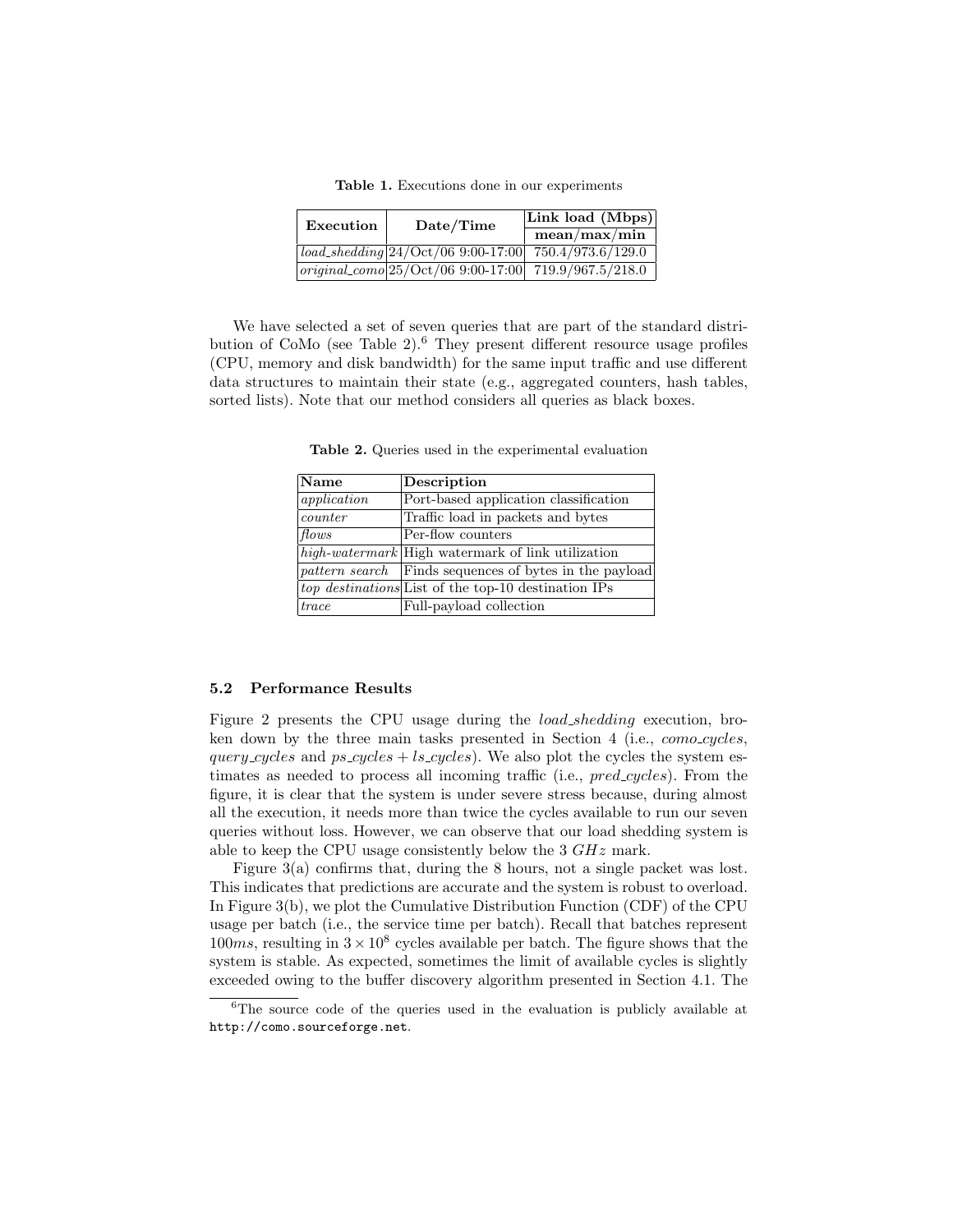| Execution | Date/Time                                            | Link load (Mbps)  |  |
|-----------|------------------------------------------------------|-------------------|--|
|           |                                                      | mean/max/min      |  |
|           | $load\_shending$ 24/Oct/06 9:00-17:00                | 750.4/973.6/129.0 |  |
|           | original_como 25/Oct/06 9:00-17:00 719.9/967.5/218.0 |                   |  |

**Table 1.** Executions done in our experiments

We have selected a set of seven queries that are part of the standard distribution of CoMo (see Table 2).<sup>6</sup> They present different resource usage profiles (CPU, memory and disk bandwidth) for the same input traffic and use different data structures to maintain their state (e.g., aggregated counters, hash tables, sorted lists). Note that our method considers all queries as black boxes.

| $\mathbf{\mathbf{Name}}$ | Description                                                   |
|--------------------------|---------------------------------------------------------------|
| application              | Port-based application classification                         |
| counter                  | Traffic load in packets and bytes                             |
| flows                    | Per-flow counters                                             |
|                          | high-watermark High watermark of link utilization             |
|                          | <i>pattern search</i> Finds sequences of bytes in the payload |
|                          | top destinations List of the top-10 destination IPs           |
| trace                    | Full-payload collection                                       |

**Table 2.** Queries used in the experimental evaluation

#### **5.2 Performance Results**

Figure 2 presents the CPU usage during the *load shedding* execution, broken down by the three main tasks presented in Section 4 (i.e., *como cycles*, *query\_cycles* and  $ps\_cycles + ls\_cycles$ . We also plot the cycles the system estimates as needed to process all incoming traffic (i.e., *pred cycles*). From the figure, it is clear that the system is under severe stress because, during almost all the execution, it needs more than twice the cycles available to run our seven queries without loss. However, we can observe that our load shedding system is able to keep the CPU usage consistently below the 3 *GHz* mark.

Figure 3(a) confirms that, during the 8 hours, not a single packet was lost. This indicates that predictions are accurate and the system is robust to overload. In Figure 3(b), we plot the Cumulative Distribution Function (CDF) of the CPU usage per batch (i.e., the service time per batch). Recall that batches represent  $100ms,$  resulting in  $3\times10^8$  cycles available per batch. The figure shows that the system is stable. As expected, sometimes the limit of available cycles is slightly exceeded owing to the buffer discovery algorithm presented in Section 4.1. The

<sup>&</sup>lt;sup>6</sup>The source code of the queries used in the evaluation is publicly available at http://como.sourceforge.net.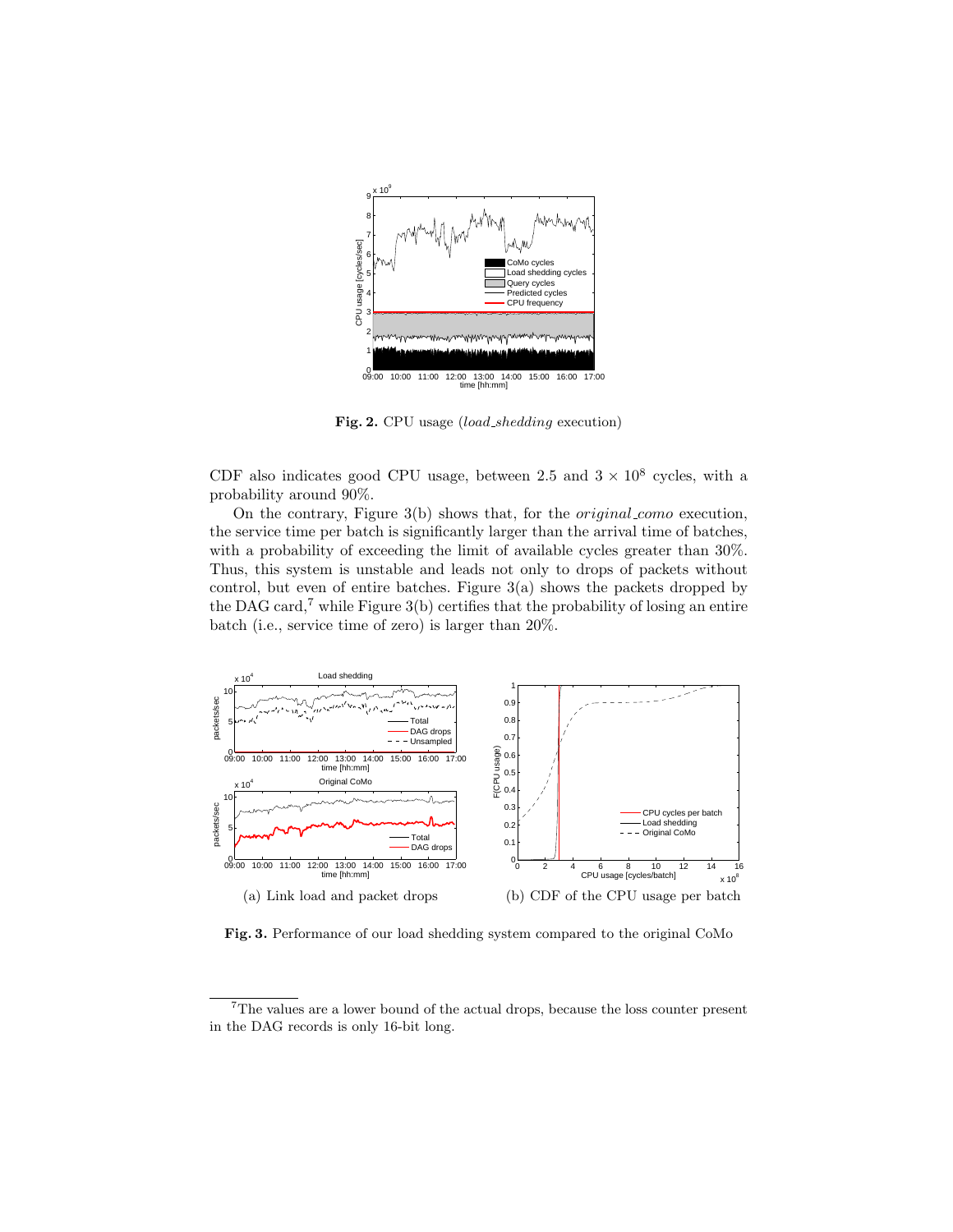

**Fig. 2.** CPU usage (*load shedding* execution)

CDF also indicates good CPU usage, between 2.5 and  $3 \times 10^8$  cycles, with a probability around 90%.

On the contrary, Figure 3(b) shows that, for the *original como* execution, the service time per batch is significantly larger than the arrival time of batches, with a probability of exceeding the limit of available cycles greater than  $30\%$ . Thus, this system is unstable and leads not only to drops of packets without control, but even of entire batches. Figure  $3(a)$  shows the packets dropped by the DAG card,<sup>7</sup> while Figure 3(b) certifies that the probability of losing an entire batch (i.e., service time of zero) is larger than 20%.



**Fig. 3.** Performance of our load shedding system compared to the original CoMo

 ${\rm ^7The}$  values are a lower bound of the actual drops, because the loss counter present in the DAG records is only 16-bit long.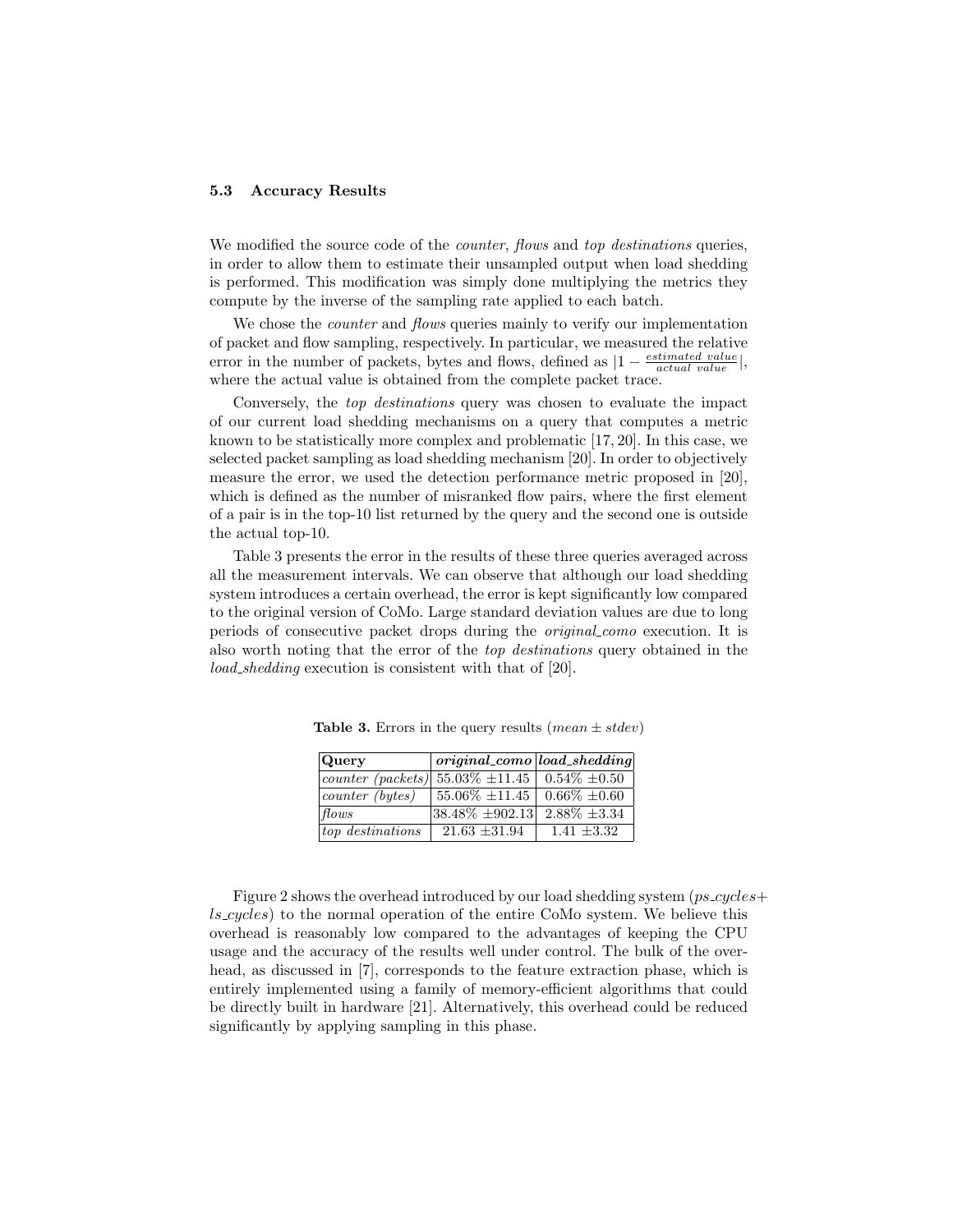#### **5.3 Accuracy Results**

We modified the source code of the *counter*, *flows* and *top destinations* queries, in order to allow them to estimate their unsampled output when load shedding is performed. This modification was simply done multiplying the metrics they compute by the inverse of the sampling rate applied to each batch.

We chose the *counter* and *flows* queries mainly to verify our implementation of packet and flow sampling, respectively. In particular, we measured the relative error in the number of packets, bytes and flows, defined as  $|1 - \frac{estimated \ value}{actual \ value}|$ , where the actual value is obtained from the complete packet trace.

Conversely, the *top destinations* query was chosen to evaluate the impact of our current load shedding mechanisms on a query that computes a metric known to be statistically more complex and problematic [17, 20]. In this case, we selected packet sampling as load shedding mechanism [20]. In order to objectively measure the error, we used the detection performance metric proposed in [20], which is defined as the number of misranked flow pairs, where the first element of a pair is in the top-10 list returned by the query and the second one is outside the actual top-10.

Table 3 presents the error in the results of these three queries averaged across all the measurement intervals. We can observe that although our load shedding system introduces a certain overhead, the error is kept significantly low compared to the original version of CoMo. Large standard deviation values are due to long periods of consecutive packet drops during the *original como* execution. It is also worth noting that the error of the *top destinations* query obtained in the *load shedding* execution is consistent with that of [20].

| $\sqrt{$ Query                                             | $original\_como   load\_shending $       |               |
|------------------------------------------------------------|------------------------------------------|---------------|
| counter (packets)  $55.03\% \pm 11.45$   $0.54\% \pm 0.50$ |                                          |               |
| $\sqrt{\text{counter (bytes)}}$                            | $55.06\% \pm 11.45 \mid 0.66\% \pm 0.60$ |               |
| flows                                                      | $38.48\% \pm 902.13$ 2.88\% $\pm 3.34$   |               |
| $\vert$ top destinations                                   | $21.63 + 31.94$                          | $1.41 + 3.32$ |

**Table 3.** Errors in the query results  $(mean \pm stdev)$ 

Figure 2 shows the overhead introduced by our load shedding system (*ps cycles*+ *ls cycles*) to the normal operation of the entire CoMo system. We believe this overhead is reasonably low compared to the advantages of keeping the CPU usage and the accuracy of the results well under control. The bulk of the overhead, as discussed in [7], corresponds to the feature extraction phase, which is entirely implemented using a family of memory-efficient algorithms that could be directly built in hardware [21]. Alternatively, this overhead could be reduced significantly by applying sampling in this phase.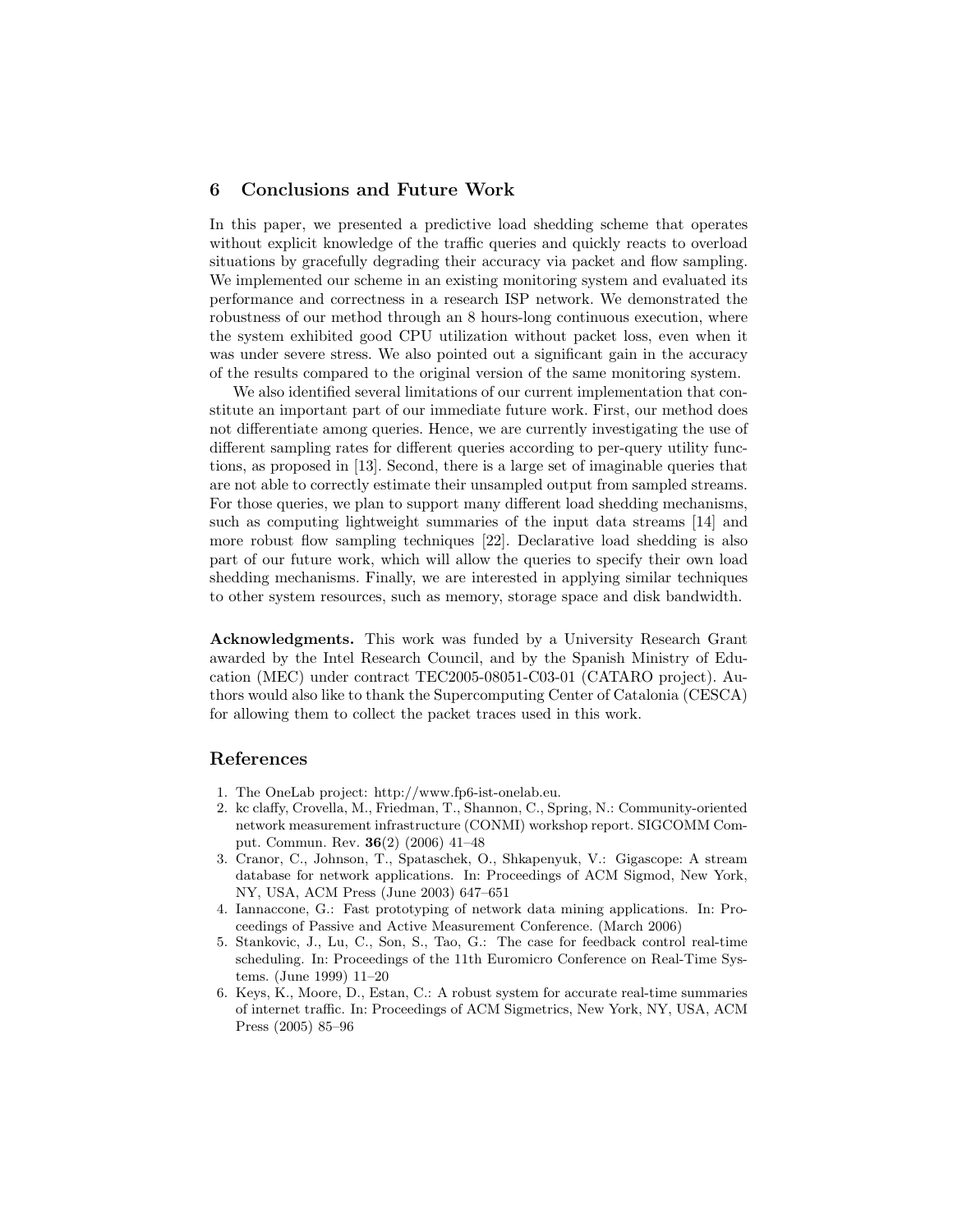# **6 Conclusions and Future Work**

In this paper, we presented a predictive load shedding scheme that operates without explicit knowledge of the traffic queries and quickly reacts to overload situations by gracefully degrading their accuracy via packet and flow sampling. We implemented our scheme in an existing monitoring system and evaluated its performance and correctness in a research ISP network. We demonstrated the robustness of our method through an 8 hours-long continuous execution, where the system exhibited good CPU utilization without packet loss, even when it was under severe stress. We also pointed out a significant gain in the accuracy of the results compared to the original version of the same monitoring system.

We also identified several limitations of our current implementation that constitute an important part of our immediate future work. First, our method does not differentiate among queries. Hence, we are currently investigating the use of different sampling rates for different queries according to per-query utility functions, as proposed in [13]. Second, there is a large set of imaginable queries that are not able to correctly estimate their unsampled output from sampled streams. For those queries, we plan to support many different load shedding mechanisms, such as computing lightweight summaries of the input data streams [14] and more robust flow sampling techniques [22]. Declarative load shedding is also part of our future work, which will allow the queries to specify their own load shedding mechanisms. Finally, we are interested in applying similar techniques to other system resources, such as memory, storage space and disk bandwidth.

**Acknowledgments.** This work was funded by a University Research Grant awarded by the Intel Research Council, and by the Spanish Ministry of Education (MEC) under contract TEC2005-08051-C03-01 (CATARO project). Authors would also like to thank the Supercomputing Center of Catalonia (CESCA) for allowing them to collect the packet traces used in this work.

# **References**

- 1. The OneLab project: http://www.fp6-ist-onelab.eu.
- 2. kc claffy, Crovella, M., Friedman, T., Shannon, C., Spring, N.: Community-oriented network measurement infrastructure (CONMI) workshop report. SIGCOMM Comput. Commun. Rev. **36**(2) (2006) 41–48
- 3. Cranor, C., Johnson, T., Spataschek, O., Shkapenyuk, V.: Gigascope: A stream database for network applications. In: Proceedings of ACM Sigmod, New York, NY, USA, ACM Press (June 2003) 647–651
- 4. Iannaccone, G.: Fast prototyping of network data mining applications. In: Proceedings of Passive and Active Measurement Conference. (March 2006)
- 5. Stankovic, J., Lu, C., Son, S., Tao, G.: The case for feedback control real-time scheduling. In: Proceedings of the 11th Euromicro Conference on Real-Time Systems. (June 1999) 11–20
- 6. Keys, K., Moore, D., Estan, C.: A robust system for accurate real-time summaries of internet traffic. In: Proceedings of ACM Sigmetrics, New York, NY, USA, ACM Press (2005) 85–96